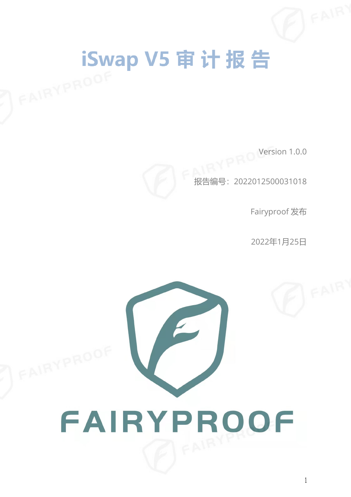# iSwap V5 审计报告 FAIRYPROOF

Version 1.0.0

报告编号:2022012500031018

Fairyproof 发布

2022年1月25日

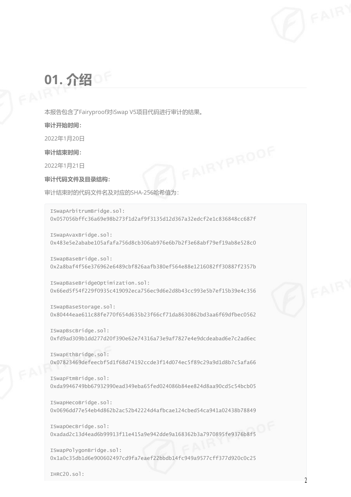#### **01. 介绍**

本报告包含了Fairyproof对iSwap V5项目代码进行审计的结果。

**审计开始时间:**

2022年1月20日

**审计结束时间:**

2022年1月21日

**审计代码文件及目录结构:**

审计结束时的代码文件名及对应的SHA-256哈希值为:

```
ISwapArbitrumBridge.sol:
0x057056bffc36a69e98b273f1d2af9f3135d12d367a32edcf2e1c836848cc687f
```
ISwapAvaxBridge.sol: 0x483e5e2ababe105afafa756d8cb306ab976e6b7b2f3e68abf79ef19ab8e528c0

ISwapBaseBridge.sol: 0x2a8baf4f56e376962e6489cbf826aafb380ef564e88e1216082ff30887f2357b

ISwapBaseBridgeOptimization.sol: 0x66ed5f54f229f0935c419092eca756ec9d6e2d8b43cc993e5b7ef15b39e4c356

```
ISwapBaseStorage.sol:
0x80444eae611c88fe770f654d635b23f66cf71da8630862bd3aa6f69dfbec0562
```
ISwapBscBridge.sol: 0xfd9ad309b1dd277d20f390e62e74316a73e9af7827e4e9dcdeabad6e7c2ad6ec

ISwapEthBridge.sol: 0x07823469defeecbf5d1f68d74192ccde3f14d074ec5f89c29a9d1d8b7c5afa66

ISwapFtmBridge.sol: 0xda9946749bb67932990ead349eba65fed024086b84ee824d8aa90cd5c54bcb05

ISwapHecoBridge.sol: 0x0696dd77e54eb4d862b2ac52b42224d4afbcae124cbed54ca941a02438b78849

ISwapOecBridge.sol: 0xadad2c13d4ead6b99913f11e415a9e942dde9a168362b3a7970895fe9376b8f5

ISwapPolygonBridge.sol: 0x1a0c35db1d6e900602497cd9fa7eaef22bbdb14fc949a9577cff377d920c0c25

IHRC20.sol: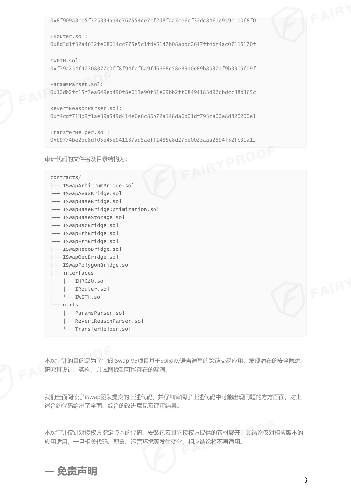#### 0x8f909a8cc5f325334aa4c767554ce7cf2d8faa7ce6cf37dc8461e959c1d0f8f0

IRouter.sol: 0x8d3d1f32a4632fe68614cc775e5c1fde5147b08abdc2647ff4df4ac07115170f

IWETH.sol: 0xf79a254f47708877e0ff8f94fcf6a9fd6668c58e89a0e89b8537af9b3905f09f

ParamsParser.sol: 0x12db2fc15f3ea649eb490f8e613e90f81e69bb2ff68494183d92cbdcc38d365c

RevertReasonParser.sol: 0xf4cdf713b9f1ae39a549d414e6e6c86b72a148da6d01df793ca02e8d820200e1

TransferHelper.sol: 0xb9774be2bc8df05e45e941137ad5aeff1485e8d27be0023aaa2894f52fc31a12<br>?计代码的文件名及目录结构为:<br>contracts/

审计代码的文件名及目录结构为:

contracts/

- ├── ISwapArbitrumBridge.sol
- ├── ISwapAvaxBridge.sol
- ├── ISwapBaseBridge.sol
- ├── ISwapBaseBridgeOptimization.sol
- ├── ISwapBaseStorage.sol
- ├── ISwapBscBridge.sol
- ├── ISwapEthBridge.sol
- ├── ISwapFtmBridge.sol
- ├── ISwapHecoBridge.sol
- ├── ISwapOecBridge.sol
- ├── ISwapPolygonBridge.sol
- ├── interfaces
	- | ├── IHRC20.sol
	- | ├── IRouter.sol
	- | └── IWETH.sol

└── utils

- ├── ParamsParser.sol
- RevertReasonParser.sol
- └── TransferHelper.sol

本次审计的目的是为了审阅iSwap V5项目基于Solidity语言编写的跨链交易应用,发现潜在的安全隐患, 研究其设计、架构,并试图找到可能存在的漏洞。

我们全面阅读了iSwap团队提交的上述代码,并仔细审阅了上述代码中可能出现问题的方方面面,对上 述合约代码给出了全面、综合的改进意见及评审结果。

本次审计仅针对授权方指定版本的代码、安装包及其它授权方提供的素材展开,其结论仅对相应版本的 应用适用,一旦相关代码、配置、运营环境等发生变化,相应结论将不再适用。

**— 免责声明**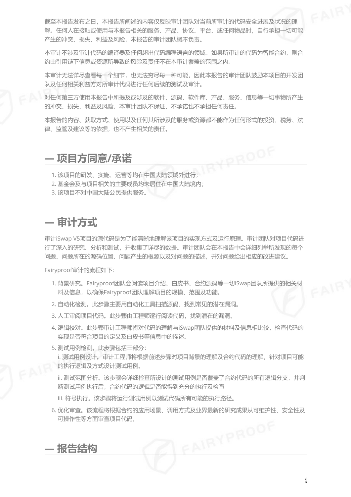截至本报告发布之日,本报告所阐述的内容仅反映审计团队对当前所审计的代码安全进展及状况的理 解。任何人在接触或使用与本报告相关的服务、产品、协议、平台、或任何物品时,自行承担一切可能 产生的冲突、损失、利益及风险,本报告的审计团队概不负责。

本审计不涉及审计代码的编译器及任何超出代码编程语言的领域。如果所审计的代码为智能合约,则合 约由引用链下信息或资源所导致的风险及责任不在本审计覆盖的范围之内。

本审计无法详尽查看每一个细节,也无法穷尽每一种可能,因此本报告的审计团队鼓励本项目的开发团 队及任何相关利益方对所审计代码进行任何后续的测试及审计。

对任何第三方使用本报告中所提及或涉及的软件、源码、软件库、产品、服务、信息等一切事物所产生 的冲突、损失、利益及风险,本审计团队不保证、不承诺也不承担任何责任。

本报告的内容、获取方式、使用以及任何其所涉及的服务或资源都不能作为任何形式的投资、税务、法 律、监管及建议等的依据,也不产生相关的责任。

## **— 项目方同意/承诺** 1. 该项目的研发、实施、运营等均在中国大陆领域外进行;

- 
- 2. 基金会及与项目相关的主要成员均未居住在中国大陆境内;
- 3. 该项目不对中国大陆公民提供服务。

#### **— 审计方式**

审计iSwap V5项目的源代码是为了能清晰地理解该项目的实现方式及运行原理。审计团队对项目代码进 行了深入的研究、分析和测试,并收集了详尽的数据。审计团队会在本报告中会详细列举所发现的每个 问题、问题所在的源码位置、问题产生的根源以及对问题的描述,并对问题给出相应的改进建议。

Fairyproof审计的流程如下:

- 1. 背景研究。Fairyproof团队会阅读项目介绍、白皮书、合约源码等一切iSwap团队所提供的相关材 料及信息,以确保Fairyproof团队理解项目的规模、范围及功能。
- 2. 自动化检测。此步骤主要用自动化工具扫描源码,找到常见的潜在漏洞。
- 3. 人工审阅项目代码。此步骤由工程师逐行阅读代码, 找到潜在的漏洞。
- 4. 逻辑校对。此步骤审计工程师将对代码的理解与iSwap团队提供的材料及信息相比较, 检查代码的 实现是否符合项目的定义及白皮书等信息中的描述。
- 5. 测试用例检测。此步骤包括三部分: i. 测试用例设计。审计工程师将根据前述步骤对项目背景的理解及合约代码的理解,针对项目可能 的执行逻辑及方式设计测试用例。

ii. 测试范围分析。该步骤会详细检查所设计的测试用例是否覆盖了合约代码的所有逻辑分支, 并判 断测试用例执行后,合约代码的逻辑是否能得到充分的执行及检查

iii. 符号执行。该步骤将运行测试用例以测试代码所有可能的执行路径。

6. 优化审查。该流程将根据合约的应用场景、调用方式及业界最新的研究成果从可维护性、安全性及 可操作性等方面审查项目代码。

**— 报告结构**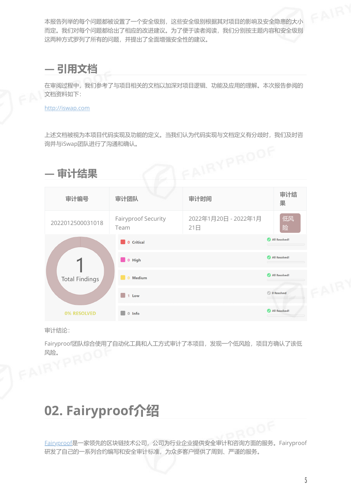本报告列举的每个问题都被设置了一个安全级别,这些安全级别根据其对项目的影响及安全隐患的大小 而定。我们对每个问题都给出了相应的改进建议。为了便于读者阅读,我们分别按主题内容和安全级别 这两种方式罗列了所有的问题,并提出了全面增强安全性的建议。

#### **— 引用文档**

在审阅过程中,我们参考了与项目相关的文档以加深对项目逻辑、功能及应用的理解。本次报告参阅的 文档资料如下:

[http://iswap.com](http://iswap.com/)

上述文档被视为本项目代码实现及功能的定义。当我们认为代码实现与文档定义有分歧时,我们及时咨 询并与iSwap团队进行了沟通和确认。



审计结论:

Fairyproof团队综合使用了自动化工具和人工方式审计了本项目,发现一个低风险,项目方确认了该低 FAIRYPROO

#### **02. Fairyproof介绍**

[Fairyproof](https://www.fairyproof.com/)是一家领先的区块链技术公司,公司为行业企业提供安全审计和咨询方面的服务。Fairyproof 研发了自己的一系列合约编写和安全审计标准,为众多客户提供了周到、严谨的服务。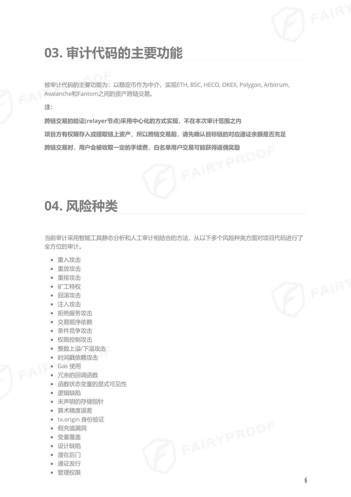#### **03. 审计代码的主要功能**

被审计代码的主要功能为:以稳定币作为中介,实现ETH, BSC, HECO, OKEX, Polygon, Arbitrum, Avalanche和Fantom之间的资产跨链交易。

**注:**

**跨链交易的验证(relayer节点)采用中心化的方式实现,不在本次审计范围之内 项目方有权限存入或提取链上资产,所以跨链交易前,请先确认目标链的对应通证余额是否充足 跨链交易时,用户会被收取一定的手续费,白名单用户交易可能获得返佣奖励**

#### **04. 风险种类**

当前审计采用智能工具静态分析和人工审计相结合的方法,从以下多个风险种类方面对项目代码进行了 全方位的审计。

- 重入攻击
- 重放攻击
- 重排攻击
- 矿工特权
- 回滚攻击
- 注入攻击
- 拒绝服务攻击
- 交易顺序依赖
- 条件竞争攻击
- 权限控制攻击
- 整数上溢/下溢攻击
- 时间戳依赖攻击
- Gas 使用
- 冗余的回调函数
- 函数状态变量的显式可见性
- 逻辑缺陷
- 未声明的存储指针
- 算术精度误差
- tx.origin 身份验证
- 假充值漏洞
- 变量覆盖
- 设计缺陷
- 潜在后门
- 通证发行
- 管理权限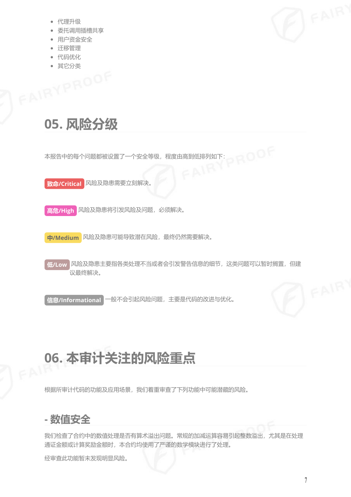- 代理升级
- 委托调用插槽共享
- 用户资金安全
- 迁移管理
- 代码优化
- · 其它分类<br>FAIRYPROOF

#### **05. 风险分级**

本报告中的每个问题都被设置了一个安全等级,程度由高到低排列如下:

**致命/Critical** 风险及隐患需要立刻解决。

**高危/High** 风险及隐患将引发风险及问题,必须解决。

**中/Medium** 风险及隐患可能导致潜在风险,最终仍然需要解决。

**低/Low** 风险及隐患主要指各类处理不当或者会引发警告信息的细节,这类问题可以暂时搁置,但建 议最终解决。

**信息/Informational** 一般不会引起风险问题,主要是代码的改进与优化。

### **06. 本审计关注的风险重点**

根据所审计代码的功能及应用场景,我们着重审查了下列功能中可能潜藏的风险。

**- 数值安全**

我们检查了合约中的数值处理是否有算术溢出问题。常规的加减运算容易引起整数溢出,尤其是在处理 通证金额或计算奖励金额时,本合约均使用了严谨的数学模块进行了处理。

经审查此功能暂未发现明显风险。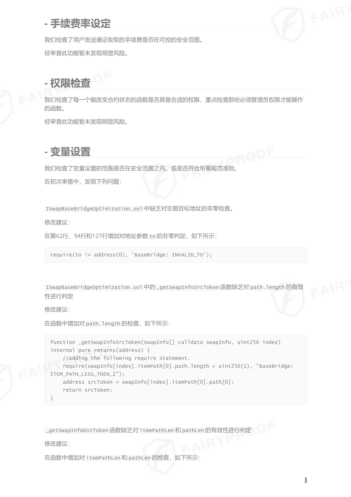#### **- 手续费率设定**

我们检查了用户发送通证收取的手续费是否在可控的安全范围。

经审查此功能暂未发现明显风险。

#### **- 权限检查**

我们检查了每一个能改变合约状态的函数是否具备合适的权限,重点检查那些必须管理员权限才能操作 的函数。

经审查此功能暂未发现明显风险。

#### **- 变量设置**

我们检查了变量设置的范围是否在安全范围之内,或是否符合所需规范准则。

在初次审查中,发现下列问题:

ISwapBaseBridgeOptimization.sol 中缺乏对交易目标地址的非零检查。

修改建议:

在第62行、94行和127行增加对地址参数 to 的非零判定,如下所示:

require(to != address(0), 'BaseBridge: INVALID\_TO');

ISwapBaseBridgeOptimization.sol 中的 \_getSwapInfoSrcToken 函数缺乏对 path.length 的有效 性进行判定

修改建议:

在函数中增加对 path.length 的检查,如下所示:

```
function _getSwapInfoSrcToken(SwapInfo[] calldata swapInfo, uint256 index)
internal pure returns(address) {
    //adding the following require statement.
   require(swapInfo[index].itemPath[0].path.length > uint256(1), "BaseBridge:
ITEM_PATH_LESS_THEN_2");
   address srcToken = swapInfo[index].itemPath[0].path[0];
    return srcToken;
}
```
\_getSwapInfoDstToken 函数缺乏对 itemPathLen 和 pathLen 的有效性进行判定

修改建议:

在函数中增加对 itemPathLen 和 pathLen 的检查, 如下所示: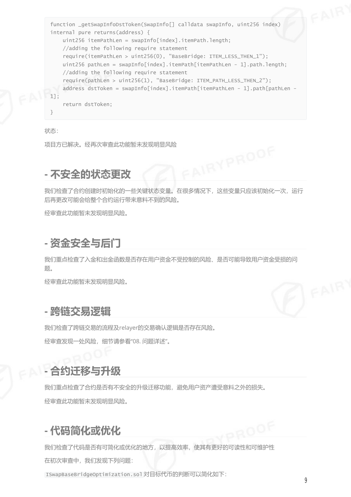```
function _getSwapInfoDstToken(SwapInfo[] calldata swapInfo, uint256 index)
internal pure returns(address) {
   uint256 itemPathLen = swapInfo[index].itemPath.length;
    //adding the following require statement
    require(itemPathLen > uint256(0), "BaseBridge: ITEM_LESS_THEN_1");
   uint256 pathLen = swapInfo[index].itemPath[itemPathLen - 1].path.length;
    //adding the following require statement
    require(pathLen > uint256(1), "BaseBridge: ITEM_PATH_LESS_THEN_2");
    address dstToken = swapInfo[index].itemPath[itemPathLen - 1].path[pathLen -
1];
    return dstToken;
}
```
状态:

项目方已解决。经再次审查此功能暂未发现明显风险

#### **- 不安全的状态更改**

我们检查了合约创建时初始化的一些关键状态变量。在很多情况下,这些变量只应该初始化一次,运行 后再更改可能会给整个合约运行带来意料不到的风险。

经审查此功能暂未发现明显风险。

#### **- 资金安全与后门**

我们重点检查了入金和出金函数是否存在用户资金不受控制的风险、是否可能导致用户资金受损的问 题。

经审查此功能暂未发现明显风险。

#### **- 跨链交易逻辑**

我们检查了跨链交易的流程及relayer的交易确认逻辑是否存在风险。

经审查发现一处风险,细节请参看"08. 问题详述"。

#### **- 合约迁移与升级**

我们重点检查了合约是否有不安全的升级迁移功能,避免用户资产遭受意料之外的损失。 经审查此功能暂未发现明显风险。

#### **- 代码简化或优化**

我们检查了代码是否有可简化或优化的地方,以提高效率,使其有更好的可读性和可维护性 在初次审查中,我们发现下列问题:

ISwapBaseBridgeOptimization.sol 对目标代币的判断可以简化如下: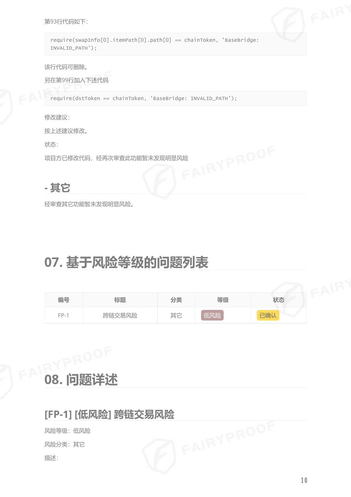#### 第93行代码如下:

require(swapInfo[0].itemPath[0].path[0] == chainToken, 'BaseBridge: INVALID\_PATH');

该行代码可删除。

另在第99行加入下述代码

require(dstToken == chainToken, 'BaseBridge: INVALID\_PATH');

修改建议:

按上述建议修改。

状态:

项目方已修改代码,经再次审查此功能暂未发现明显风险



经审查其它功能暂未发现明显风险。

#### **07. 基于风险等级的问题列表**

| 编号     | 标题     | 分类 | 等级  | 状态  |
|--------|--------|----|-----|-----|
| $FP-1$ | 跨链交易风险 | 其它 | 低风险 | 已确认 |

FA<sup>12. PROOF</sup>

# **[FP-1] [低风险] 跨链交易风险**<br>风险等级:低风险<br>风险分类:其它<br>描述:

风险等级:低风险

风险分类:其它

描述: